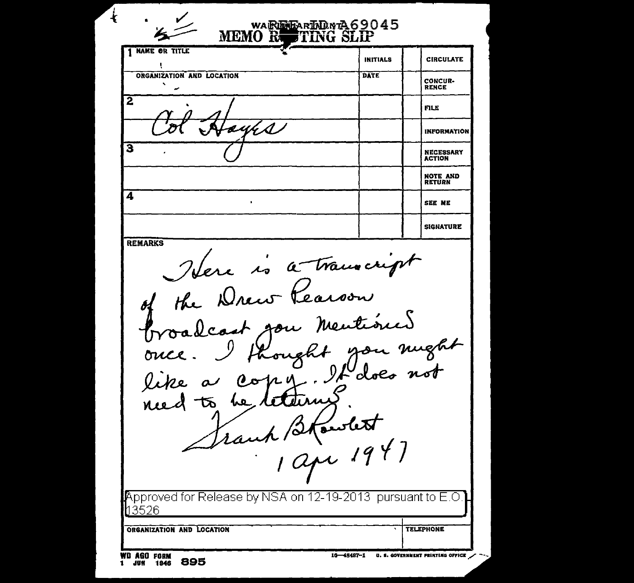$\mathbf{I}$ HrarinDavrA69045 **MEMORE** FTING SLIP 1 NAME OR TITLE **INITIALS CIRCULATE** ORGANIZATION AND LOCATION **DATE** CONCUR-**RENCE**  $\overline{2}$ **FILE** aní A I **INFORMATION**  $\overline{\mathbf{3}}$ **NECESSARY ACTION NOTE AND<br>RETURN** 4  $\cdot$ SEE ME **SIGNATURE REMARKS** Idere is a transcript of the Drew Rearson Proadcast gon mentioned of you mught hought once like  $00114$ retern চ্চ ــعمه need Frank Blowlest Approved for Release by NSA on 12-19-2013 pursuant to E.O 13526 ORGANIZATION AND LOCATION **TELEPHONE WD AGO FORM** 16-48487-1 U.S. COVERNMENT PRINTING OFFICE 895 1 JUN 1946